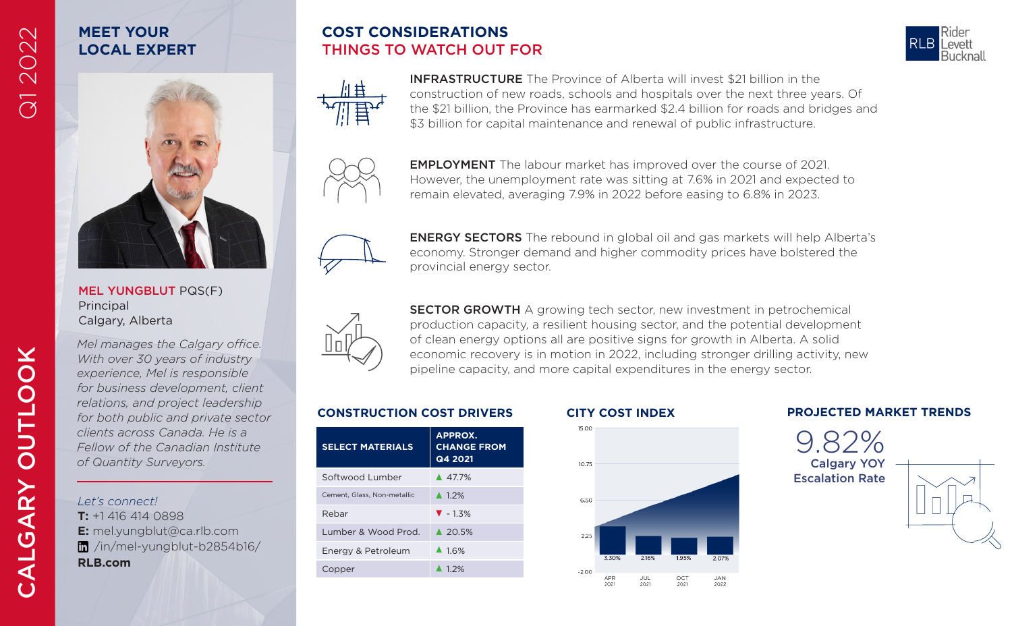# Q1 2022

## **MEET YOUR LOCAL EXPERT**

MEL YUNGBLUT PQS(F)

*Mel manages the Calgary office. With over 30 years of industry experience, Mel is responsible for business development, client relations, and project leadership for both public and private sector clients across Canada. He is a Fellow of the Canadian Institute* 

Principal Calgary, Alberta

## **COST CONSIDERATIONS** THINGS TO WATCH OUT FOR





INFRASTRUCTURE The Province of Alberta will invest \$21 billion in the construction of new roads, schools and hospitals over the next three years. Of the \$21 billion, the Province has earmarked \$2.4 billion for roads and bridges and \$3 billion for capital maintenance and renewal of public infrastructure.



EMPLOYMENT The labour market has improved over the course of 2021. However, the unemployment rate was sitting at 7.6% in 2021 and expected to remain elevated, averaging 7.9% in 2022 before easing to 6.8% in 2023.



ENERGY SECTORS The rebound in global oil and gas markets will help Alberta's economy. Stronger demand and higher commodity prices have bolstered the provincial energy sector.



SECTOR GROWTH A growing tech sector, new investment in petrochemical production capacity, a resilient housing sector, and the potential development of clean energy options all are positive signs for growth in Alberta. A solid economic recovery is in motion in 2022, including stronger drilling activity, new pipeline capacity, and more capital expenditures in the energy sector.

| <b>SELECT MATERIALS</b>        | APPROX.<br><b>CHANGE FROM</b><br>Q4 2021 |
|--------------------------------|------------------------------------------|
| Softwood Lumber                | ▲ 477%                                   |
| Cement, Glass, Non-metallic    | $\triangle$ 12%                          |
| Rebar                          | $\blacktriangledown -1.3\%$              |
| <b>Lumber &amp; Wood Prod.</b> | ▲ 20.5%                                  |
| Energy & Petroleum             | 41.6%                                    |
| Copper                         | $\triangle$ 12%                          |
|                                |                                          |



#### **CONSTRUCTION COST DRIVERS CITY COST INDEX PROJECTED MARKET TRENDS**

9.82% Calgary YOY Escalation Rate



*Let's connect!* **T:** +1 416 414 0898 **E:** mel.yungblut@ca.rlb.com /in/mel-yungblut-b2854b16/ **RLB.com**

*of Quantity Surveyors.*